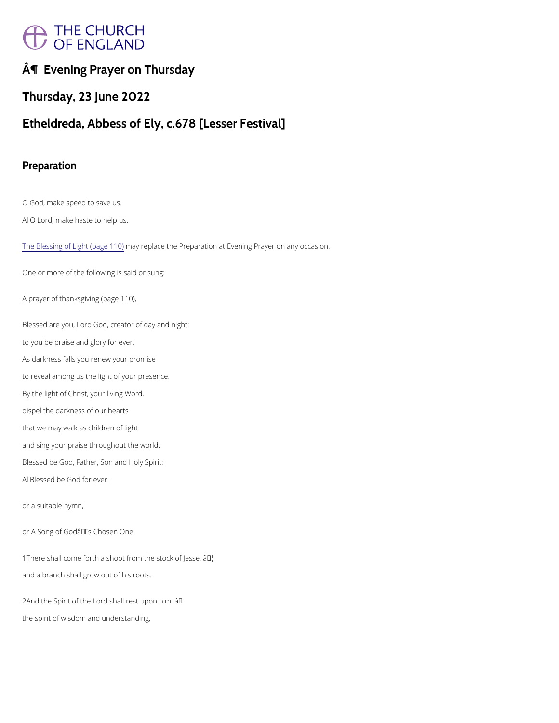# A THE CHURCH<br>/ OF ENGLAND

¶ Evening Prayer on Thursday

Thursday, 23 June 2022

Etheldreda, Abbess of Ely, c.678 [Lesser Festival]

Preparation

O God, make speed to save us.

AD Lord, make haste to help us.

[The Blessing of Ligh](https://cwdp.oremus.org//morneve/light.html)tm (apyage plaid od) the Preparation at Evening Prayer on any occasion.

Blessed are you, Lord God, creator of day and night: to you be praise and glory for ever. As darkness falls you renew your promise to reveal among us the light of your presence. By the light of Christ, your living Word, dispel the darkness of our hearts that we may walk as children of light and sing your praise throughout the world. Blessed be God, Father, Son and Holy Spirit: ABlessed be God for ever.

One or more of the following is said or sung:

A prayer of thanksgiving (page 110),

or a suitable hymn,

or A Song of God's Chosen One

1There shall come forth a shoot from  $\mathbb{M}$ the stock of Jesse,

and a branch shall grow out of his roots.

 $2A$ nd the Spirit of the Lord shail PM rest upon him,

the spirit of wisdom and understanding,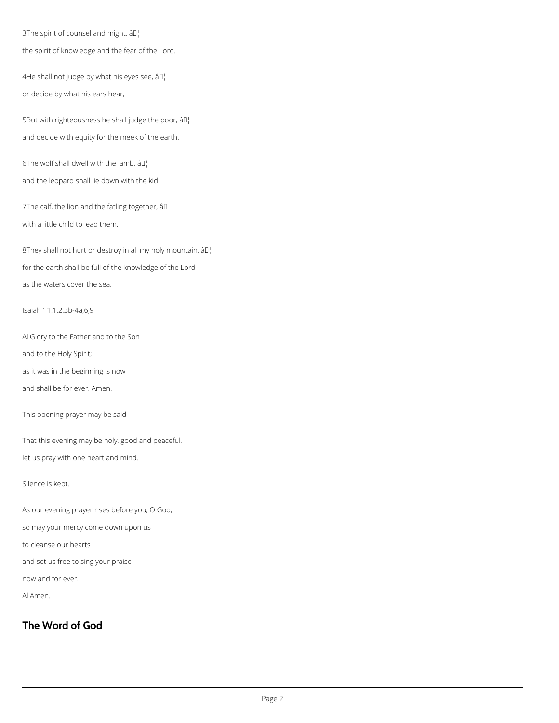3The spirit of counsel and might, â<sup>[]</sup>

the spirit of knowledge and the fear of the Lord.

4He shall not judge by what his eyes see, âll or decide by what his ears hear,

5But with righteousness he shall judge the poor,  $\partial \Pi$ . and decide with equity for the meek of the earth.

6The wolf shall dwell with the lamb,  $\left\|0\right\|$ and the leopard shall lie down with the kid.

7The calf, the lion and the fatling together,  $\left\| \Pi \right\|$ with a little child to lead them.

8They shall not hurt or destroy in all my holy mountain,  $\partial \Pi_1$ for the earth shall be full of the knowledge of the Lord as the waters cover the sea.

Isaiah 11.1,2,3b-4a,6,9

AllGlory to the Father and to the Son

and to the Holy Spirit;

as it was in the beginning is now

and shall be for ever. Amen.

This opening prayer may be said

That this evening may be holy, good and peaceful,

let us pray with one heart and mind.

Silence is kept.

As our evening prayer rises before you, O God,

so may your mercy come down upon us

to cleanse our hearts

and set us free to sing your praise

now and for ever.

AllAmen.

# **The Word of God**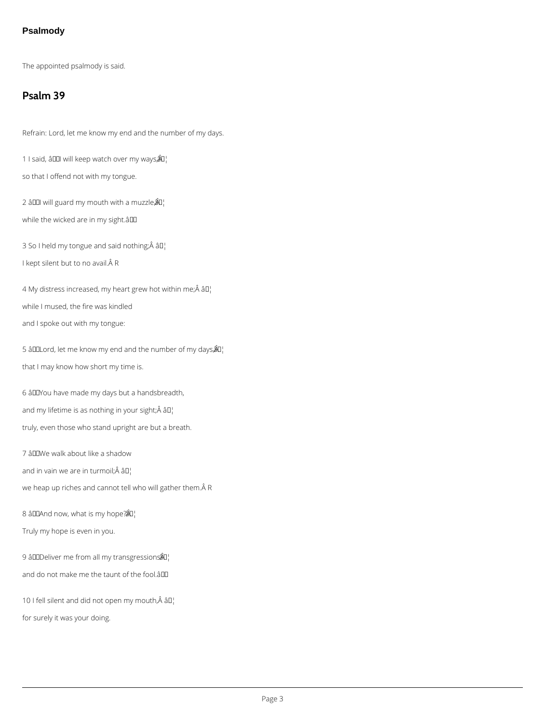## **Psalmody**

The appointed psalmody is said.

# **Psalm 39**

Refrain: Lord, let me know my end and the number of my days.

1 I said, â00 will keep watch over my ways $\hat{a}$ <sup>n</sup>¦

so that I offend not with my tongue.

2 â I will guard my mouth with a muzzle $\hat{A}$ <sup>'</sup>

while the wicked are in my sight.âDD

3 So I held my tongue and said nothing; $\hat{A}$  â $I$ ]

I kept silent but to no avail. Â R

4 My distress increased, my heart grew hot within me; $\hat{A}$   $\hat{a}$  $\Gamma$ while I mused, the fire was kindled and I spoke out with my tongue:

5 âDOLord, let me know my end and the number of my days $\hat{a}$ l that I may know how short my time is.

6 âDDYou have made my days but a handsbreadth, and my lifetime is as nothing in your sight; $\hat{A}$   $\hat{a}$  $\Gamma$ truly, even those who stand upright are but a breath.

7 âDDWe walk about like a shadow

and in vain we are in turmoil; $\hat{A}$  â $\hat{I}$ ]

we heap up riches and cannot tell who will gather them. ÂR

8 âDDAnd now, what is my hope?  $\partial Q$ 

Truly my hope is even in you.

9 âDDeliver me from all my transgressions  $\mathbb{R}^1$ 

and do not make me the taunt of the fool.â

10 I fell silent and did not open my mouth, $\hat{A}$  â $\Box$ 

for surely it was your doing.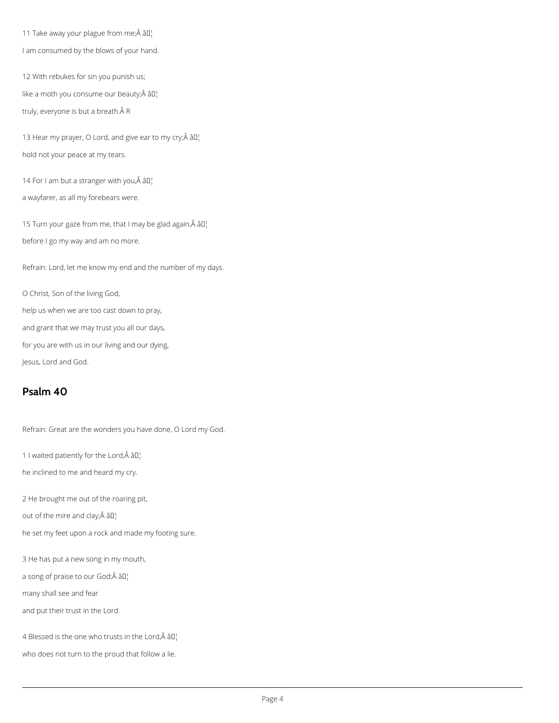11 Take away your plague from me; $\hat{A}$  â $II_1$ I am consumed by the blows of your hand.

12 With rebukes for sin you punish us; like a moth you consume our beauty; $\hat{A}$  â $\Box$ truly, everyone is but a breath. Â R

13 Hear my prayer, O Lord, and give ear to my cry; $\hat{A}$  âll] hold not your peace at my tears.

14 For I am but a stranger with you, $\hat{A}$  â $\mathbb{I}^1$ 

15 Turn your gaze from me, that I may be glad again, $\hat{A}$  âll before I go my way and am no more.

a wayfarer, as all my forebears were.

Refrain: Lord, let me know my end and the number of my days.

O Christ, Son of the living God,

help us when we are too cast down to pray,

and grant that we may trust you all our days,

for you are with us in our living and our dying,

Jesus, Lord and God.

# **Psalm 40**

Refrain: Great are the wonders you have done, O Lord my God.

1 I waited patiently for the Lord;Â âD¦

he inclined to me and heard my cry.

2 He brought me out of the roaring pit,

out of the mire and clay; $\hat{A}$   $\hat{a}$  $\Box$ 

he set my feet upon a rock and made my footing sure.

3 He has put a new song in my mouth,

a song of praise to our God; $\hat{A}$  â $I$ ]

many shall see and fear

and put their trust in the Lord.

4 Blessed is the one who trusts in the Lord, $\hat{A}$  â $\Box$ 

who does not turn to the proud that follow a lie.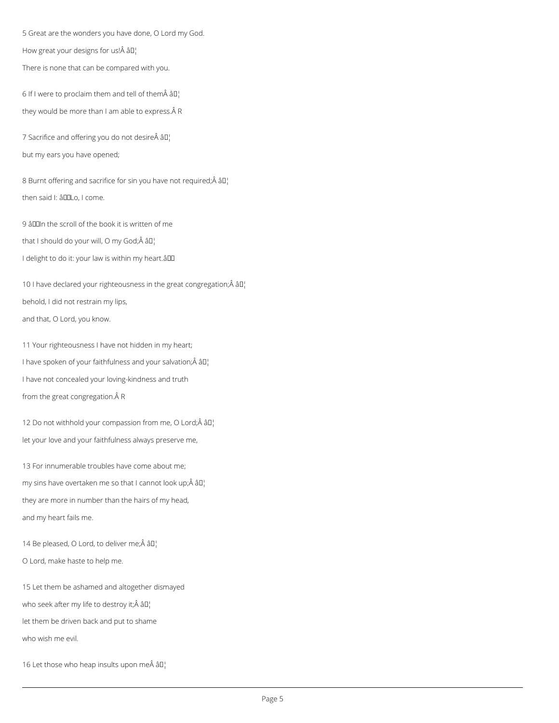5 Great are the wonders you have done, O Lord my God.

How great your designs for us! $\hat{A}$   $\hat{a}$  $\Gamma$ 

There is none that can be compared with you.

6 If I were to proclaim them and tell of them $\hat{A}$   $\hat{a}$  $I$ <sup>1</sup> they would be more than I am able to express. Â R

7 Sacrifice and offering you do not desire âD¦

but my ears you have opened;

8 Burnt offering and sacrifice for sin you have not required; $\hat{A}$  âll then said I: âDDLo, I come.

9 âD III the scroll of the book it is written of me that I should do your will, O my God; $\hat{A}$  â $\Box$ 

I delight to do it: your law is within my heart.all

10 I have declared your righteousness in the great congregation; $\hat{A}$  â $I$ <sup>1</sup> behold, I did not restrain my lips, and that, O Lord, you know.

11 Your righteousness I have not hidden in my heart; I have spoken of your faithfulness and your salvation; $\hat{A}$   $\hat{a}$  $\Gamma$ I have not concealed your loving-kindness and truth from the great congregation. Â R

12 Do not withhold your compassion from me, O Lord; $\hat{A}$  â $\Box$ let your love and your faithfulness always preserve me,

13 For innumerable troubles have come about me; my sins have overtaken me so that I cannot look up; $\hat{A}$   $\hat{a}$  $\Gamma$ they are more in number than the hairs of my head, and my heart fails me.

14 Be pleased, O Lord, to deliver me; $\hat{A}$  â $I_1$ <sup>1</sup>

O Lord, make haste to help me.

15 Let them be ashamed and altogether dismayed

who seek after my life to destroy it;  $\hat{A}$   $\hat{a}$  $\Gamma$ 

let them be driven back and put to shame

who wish me evil.

16 Let those who heap insults upon me $\hat{A}$  â $I_1$ <sup>1</sup>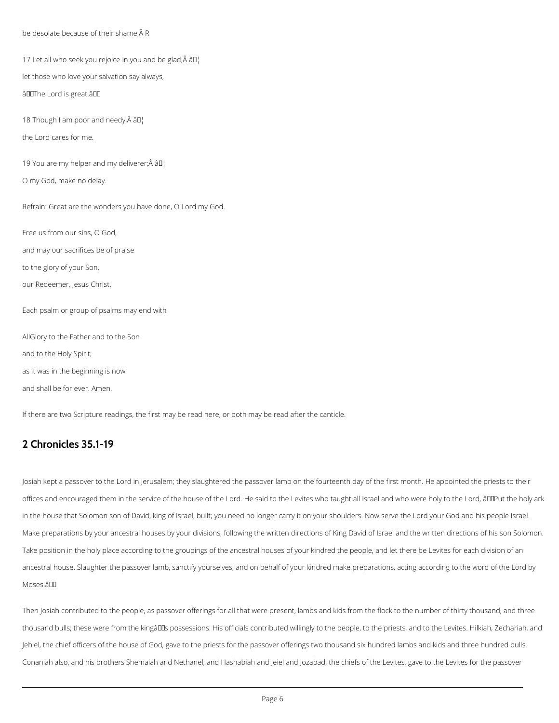be desolate because of their shame. A R

17 Let all who seek you rejoice in you and be glad; $\hat{A}$  âll

let those who love your salvation say always,

âDOThe Lord is great. âDO

18 Though I am poor and needy, $\hat{A}$  â $\Box$ 

the Lord cares for me.

19 You are my helper and my deliverer; $\hat{A}$  â $\Box$ 

O my God, make no delay.

Refrain: Great are the wonders you have done, O Lord my God.

Free us from our sins, O God,

and may our sacrifices be of praise

to the glory of your Son,

our Redeemer, Jesus Christ.

Each psalm or group of psalms may end with

AllGlory to the Father and to the Son

and to the Holy Spirit;

as it was in the beginning is now

and shall be for ever. Amen.

If there are two Scripture readings, the first may be read here, or both may be read after the canticle.

# **2 Chronicles 35.1-19**

ancestral house. Slaughter the passover lamb, sanctify yourselves, and on behalf of your kindred make preparations, acting according to the word of the Lord by Moses.âDO

Josiah kept a passover to the Lord in Jerusalem; they slaughtered the passover lamb on the fourteenth day of the first month. He appointed the priests to their offices and encouraged them in the service of the house of the Lord. He said to the Levites who taught all Israel and who were holy to the Lord, âDDPut the holy ark in the house that Solomon son of David, king of Israel, built; you need no longer carry it on your shoulders. Now serve the Lord your God and his people Israel. Make preparations by your ancestral houses by your divisions, following the written directions of King David of Israel and the written directions of his son Solomon.

Take position in the holy place according to the groupings of the ancestral houses of your kindred the people, and let there be Levites for each division of an

Then Josiah contributed to the people, as passover offerings for all that were present, lambs and kids from the flock to the number of thirty thousand, and three

thousand bulls; these were from the kingâllls possessions. His officials contributed willingly to the people, to the priests, and to the Levites. Hilkiah, Zechariah, and

Jehiel, the chief officers of the house of God, gave to the priests for the passover offerings two thousand six hundred lambs and kids and three hundred bulls.

Conaniah also, and his brothers Shemaiah and Nethanel, and Hashabiah and Jeiel and Jozabad, the chiefs of the Levites, gave to the Levites for the passover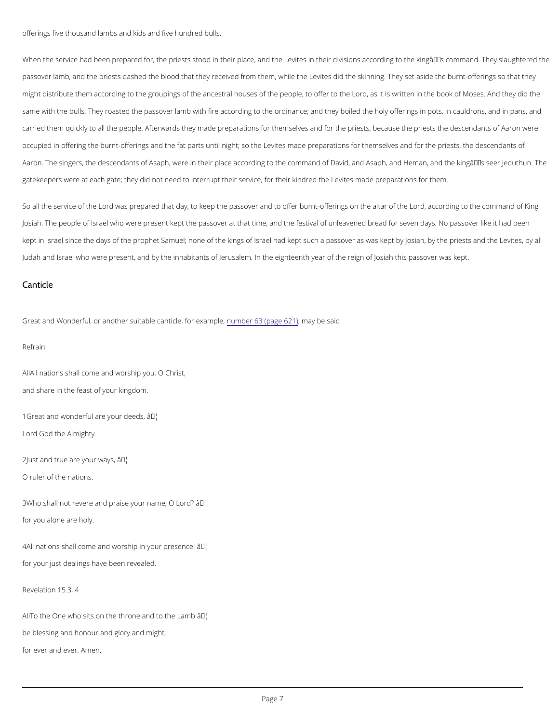offerings five thousand lambs and kids and five hundred bulls.

When the service had been prepared for, the priests stood in their place, and the Levites in their divisic passover lamb, and the priests dashed the blood that they received from them, while the Levites did the might distribute them according to the groupings of the ancestra**Lohroduesse sit onis twhenent the book of Mose**s. same with the bulls. They roasted the passover lamb with fire according to the ordinance; and they boile carried them quickly to all the people. Afterwards they made preparations for themselves and for the pri occupied in offering the burnt-offerings and the fat parts until night; so the Levites made preparations f Aaron. The singers, the descendants of Asaph, were in their place according to the command of David, a gatekeepers were at each gate; they did not need to interrupt their service, for their kindred the Levites

So all the servil coerow fashperepared that day, to keep the passover and to offer Lhour, chate **o**r thre ching stoon the het camination Josiah. The people of Israel who were present kept the passover at that time, and the festival of unleave kept in Israel since the days of the prophet Samuel; none of the kings of Israel had kept such a passove Judah and Israel who were present, and by the inhabitants of Jerusalem. In the eighteenth year of the re

All nations shall come and worship you, O Christ, and share in the feast of your kingdom.

1Great and wonderful areâ $W$ dur deeds, Lord God the Almighty.

2Just and true are  $\hat{\mathbf{y}}$   $\mathbb{W}$ ur ways,

 $3W$  ho shall not revere and praise yao M' name, O Lord? for you alone are holy.

4All nations shall come and worshi $\hat{\phi}^{\pi}$ Mh your presence:

#### Canticle

Great and Wonderful, or another suitable ucmabatic be3, (fprage en a6y21 pb) ee ,said

Refrain:

O ruler of the nations.

for your just dealings have been revealed.

Revelation 15.3, 4

All To the One who sits on the thron  $\hat{\mathbf{a}}^{\text{T}}$  and to the Lamb

be blessing and honour and glory and might,

for ever and ever. Amen.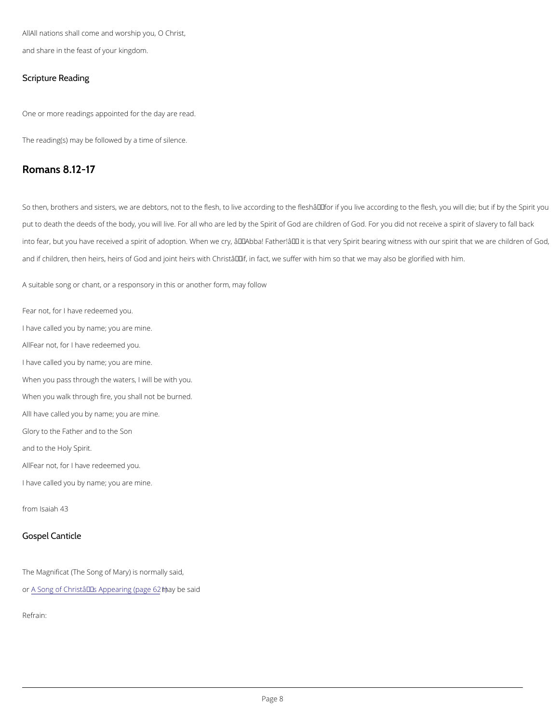All nations shall come and worship you, O Christ, and share in the feast of your kingdom.

Scripture Reading

One or more readings appointed for the day are read.

The reading(s) may be followed by a time of silence.

Romans 8.12-17

So then, brothers and sisters, we are debtors, not to the flesh, to live according to the fleshâ $\epsilon$ "for if yo put to death the deeds of the body, you will live. For all who are led by the Spirit of God are children of into fear, but you have received a spirit of adoption. When we cry,  $\hat{a} \in \tilde{a}$  and  $\tilde{a} \in \tilde{a}$  are children of  $S$ and if children, then heirs, heirs of God and joint heirs with Christâ€"if, in fact, we suffer with him so t

A suitable song or chant, or a responsory in this or another form, may follow

Fear not, for I have redeemed you. I have called you by name; you are mine. Alflear not, for I have redeemed you. I have called you by name; you are mine. When you pass through the waters, I will be with you. When you walk through fire, you shall not be burned. All have called you by name; you are mine. Glory to the Father and to the Son and to the Holy Spirit. Alflear not, for I have redeemed you. I have called you by name; you are mine.

from Isaiah 43

Gospel Canticle

The Magnificat (The Song of Mary) is normally said,

o[r A Song of Christ's Ap](https://cwdp.oremus.org//canticles/ntcanticles/63.html)pmearyinbge (spaaigle 621)

Refrain: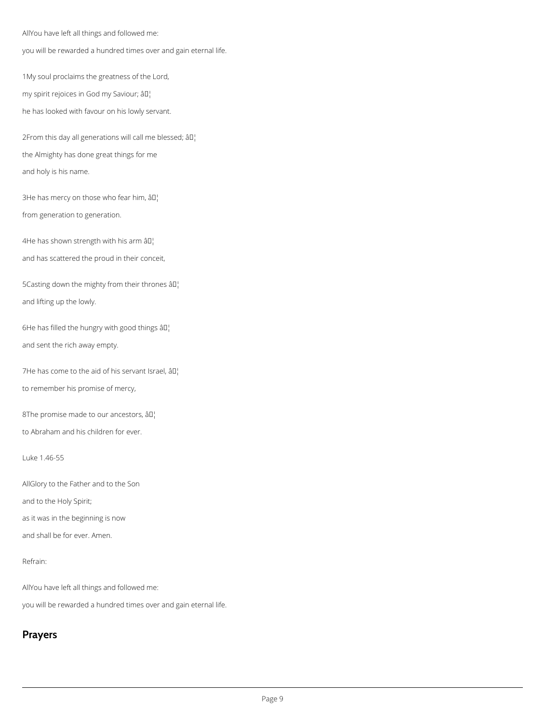AllYou have left all things and followed me:

you will be rewarded a hundred times over and gain eternal life.

1My soul proclaims the greatness of the Lord,

my spirit rejoices in God my Saviour; âD,

2From this day all generations will call me blessed; âll] the Almighty has done great things for me and holy is his name.

3He has mercy on those who fear him,  $\left.\hat{a}\right\vert\right\vert$ 

he has looked with favour on his lowly servant.

4He has shown strength with his arm  $\partial I$ . and has scattered the proud in their conceit,

5Casting down the mighty from their thrones  $\partial \mathbb{I}^1$ and lifting up the lowly.

6He has filled the hungry with good things  $\partial \Pi$ . and sent the rich away empty.

7He has come to the aid of his servant Israel,  $\partial \mathbb{I}^1$ to remember his promise of mercy,

8The promise made to our ancestors,  $\hat{a} \mathbb{I}^1$ to Abraham and his children for ever.

from generation to generation.

Luke 1.46-55

AllGlory to the Father and to the Son and to the Holy Spirit; as it was in the beginning is now

and shall be for ever. Amen.

#### Refrain:

AllYou have left all things and followed me:

you will be rewarded a hundred times over and gain eternal life.

# **Prayers**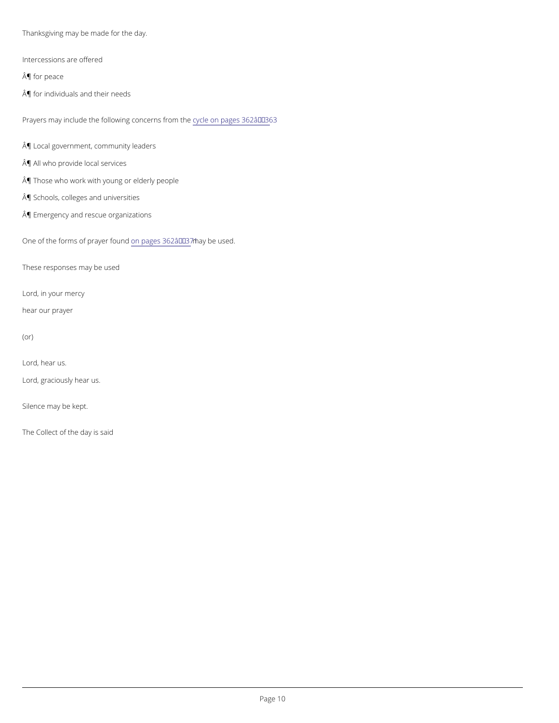Thanksgiving may be made for the day.

Intercessions are offered

¶ for peace

¶ for individuals and their needs

Prayers may include the following cycle cem pages 362 â $\epsilon$  "363

¶ Local government, community leaders ¶ All who provide local services

¶ Those who work with young or elderly people

¶ Schools, colleges and universities

¶ Emergency and rescue organizations

One of the forms of poaypages n3d6 2ma a Ey' 3b 7e1 used.

These responses may be used

Lord, in your mercy

hear our prayer

#### (or)

Lord, hear us.

Lord, graciously hear us.

Silence may be kept.

The Collect of the day is said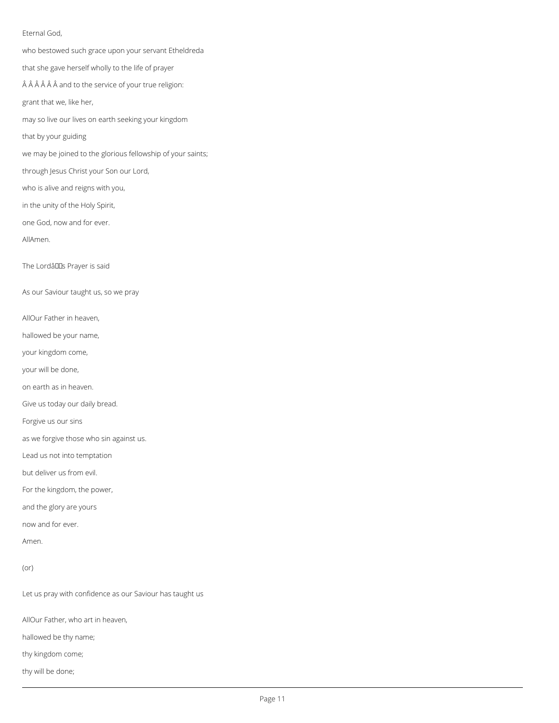### Eternal God,

who bestowed such grace upon your servant Etheldreda that she gave herself wholly to the life of prayer  $\hat{A}$   $\hat{A}$   $\hat{A}$   $\hat{A}$   $\hat{A}$  and to the service of your true religion: grant that we, like her, may so live our lives on earth seeking your kingdom that by your guiding we may be joined to the glorious fellowship of your saints; through Jesus Christ your Son our Lord, who is alive and reigns with you, in the unity of the Holy Spirit, one God, now and for ever. AllAmen. The Lordâllas Prayer is said As our Saviour taught us, so we pray AllOur Father in heaven, hallowed be your name, your kingdom come, your will be done, on earth as in heaven. Give us today our daily bread. Forgive us our sins as we forgive those who sin against us. Lead us not into temptation but deliver us from evil. For the kingdom, the power, and the glory are yours now and for ever.

Amen.

(or)

Let us pray with confidence as our Saviour has taught us

AllOur Father, who art in heaven,

hallowed be thy name;

thy kingdom come;

thy will be done;